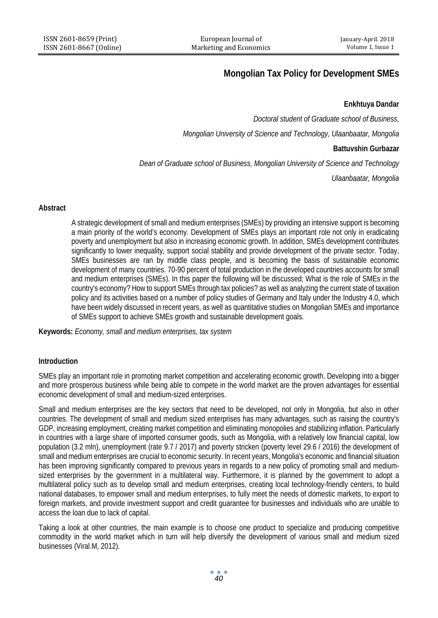# **Mongolian Tax Policy for Development SMEs**

# **Enkhtuya Dandar**

*Doctoral student of Graduate school of Business,*

*Mongolian University of Science and Technology, Ulaanbaatar, Mongolia*

### **Battuvshin Gurbazar**

*Dean of Graduate school of Business, Mongolian University of Science and Technology*

*Ulaanbaatar, Mongolia*

## **Abstract**

A strategic development of small and medium enterprises (SMEs) by providing an intensive support is becoming a main priority of the world's economy. Development of SMEs plays an important role not only in eradicating poverty and unemployment but also in increasing economic growth. In addition, SMEs development contributes significantly to lower inequality, support social stability and provide development of the private sector. Today, SMEs businesses are ran by middle class people, and is becoming the basis of sustainable economic development of many countries. 70-90 percent of total production in the developed countries accounts for small and medium enterprises (SMEs). In this paper the following will be discussed; What is the role of SMEs in the country's economy? How to support SMEs through tax policies? as well as analyzing the current state of taxation policy and its activities based on a number of policy studies of Germany and Italy under the Industry 4.0, which have been widely discussed in recent years, as well as quantitative studies on Mongolian SMEs and importance of SMEs support to achieve SMEs growth and sustainable development goals.

**Keywords:** *Economy, small and medium enterprises, tax system*

# **Introduction**

SMEs play an important role in promoting market competition and accelerating economic growth. Developing into a bigger and more prosperous business while being able to compete in the world market are the proven advantages for essential economic development of small and medium-sized enterprises.

Small and medium enterprises are the key sectors that need to be developed, not only in Mongolia, but also in other countries. The development of small and medium sized enterprises has many advantages, such as raising the country's GDP, increasing employment, creating market competition and eliminating monopolies and stabilizing inflation. Particularly in countries with a large share of imported consumer goods, such as Mongolia, with a relatively low financial capital, low population (3.2 mln), unemployment (rate 9.7 / 2017) and poverty stricken (poverty level 29.6 / 2016) the development of small and medium enterprises are crucial to economic security. In recent years, Mongolia's economic and financial situation has been improving significantly compared to previous years in regards to a new policy of promoting small and mediumsized enterprises by the government in a multilateral way. Furthermore, it is planned by the government to adopt a multilateral policy such as to develop small and medium enterprises, creating local technology-friendly centers, to build national databases, to empower small and medium enterprises, to fully meet the needs of domestic markets, to export to foreign markets, and provide investment support and credit guarantee for businesses and individuals who are unable to access the loan due to lack of capital.

Taking a look at other countries, the main example is to choose one product to specialize and producing competitive commodity in the world market which in turn will help diversify the development of various small and medium sized businesses (Viral.M, 2012).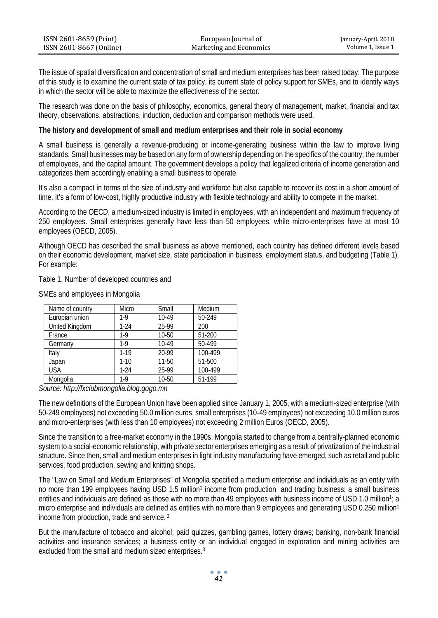| ISSN 2601-8659 (Print)  | European Journal of     | January-April. 2018 |
|-------------------------|-------------------------|---------------------|
| ISSN 2601-8667 (Online) | Marketing and Economics | Volume 1. Issue 1   |

The issue of spatial diversification and concentration of small and medium enterprises has been raised today. The purpose of this study is to examine the current state of tax policy, its current state of policy support for SMEs, and to identify ways in which the sector will be able to maximize the effectiveness of the sector.

The research was done on the basis of philosophy, economics, general theory of management, market, financial and tax theory, observations, abstractions, induction, deduction and comparison methods were used.

#### **The history and development of small and medium enterprises and their role in social economy**

A small business is generally a revenue-producing or income-generating business within the law to improve living standards. Small businesses may be based on any form of ownership depending on the specifics of the country; the number of employees, and the capital amount. The government develops a policy that legalized criteria of income generation and categorizes them accordingly enabling a small business to operate.

It's also a compact in terms of the size of industry and workforce but also capable to recover its cost in a short amount of time. It's a form of low-cost, highly productive industry with flexible technology and ability to compete in the market.

According to the OECD, a medium-sized industry is limited in employees, with an independent and maximum frequency of 250 employees. Small enterprises generally have less than 50 employees, while micro-enterprises have at most 10 employees (OECD, 2005).

Although OECD has described the small business as above mentioned, each country has defined different levels based on their economic development, market size, state participation in business, employment status, and budgeting (Table 1). For example:

## Table 1. Number of developed countries and

| Name of country | Micro    | Small   | Medium  |
|-----------------|----------|---------|---------|
| Europian union  | $1-9$    | 10-49   | 50-249  |
| United Kingdom  | $1-24$   | 25-99   | 200     |
| France          | $1-9$    | 10-50   | 51-200  |
| Germany         | $1-9$    | $10-49$ | 50-499  |
| Italy           | $1 - 19$ | 20-99   | 100-499 |
| Japan           | $1-10$   | 11-50   | 51-500  |
| <b>USA</b>      | $1 - 24$ | 25-99   | 100-499 |
| Mongolia        | $1-9$    | 10-50   | 51-199  |

SMEs and employees in Mongolia

*Source: http://fxclubmongolia.blog.gogo.mn*

The new definitions of the European Union have been applied since January 1, 2005, with a medium-sized enterprise (with 50-249 employees) not exceeding 50.0 million euros, small enterprises (10-49 employees) not exceeding 10.0 million euros and micro-enterprises (with less than 10 employees) not exceeding 2 million Euros (OECD, 2005).

Since the transition to a free-market economy in the 1990s, Mongolia started to change from a centrally-planned economic system to a social-economic relationship, with private sector enterprises emerging as a result of privatization of the industrial structure. Since then, small and medium enterprises in light industry manufacturing have emerged, such as retail and public services, food production, sewing and knitting shops.

The "Law on Small and Medium Enterprises" of Mongolia specified a medium enterprise and individuals as an entity with no more than 199 employees having USD 1.5 million<sup>1</sup> income from production and trading business; a small business entities and individuals are defined as those with no more than 49 employees with business income of USD 1.0 million<sup>1</sup>; a micro enterprise and individuals are defined as entities with no more than 9 employees and generating USD 0.250 million<sup>1</sup> income from production, trade and service. <sup>2</sup>

But the manufacture of tobacco and alcohol; paid quizzes, gambling games, lottery draws; banking, non-bank financial activities and insurance services; a business entity or an individual engaged in exploration and mining activities are excluded from the small and medium sized enterprises.<sup>3</sup>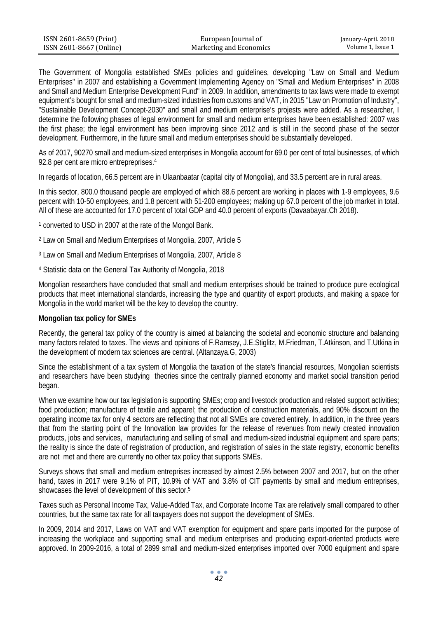| ISSN 2601-8659 (Print)  | European Journal of     | January-April. 2018 |
|-------------------------|-------------------------|---------------------|
| ISSN 2601-8667 (Online) | Marketing and Economics | Volume 1. Issue 1   |

The Government of Mongolia established SMEs policies and guidelines, developing "Law on Small and Medium Enterprises" in 2007 and establishing a Government Implementing Agency on "Small and Medium Enterprises" in 2008 and Small and Medium Enterprise Development Fund" in 2009. In addition, amendments to tax laws were made to exempt equipment's bought for small and medium-sized industries from customs and VAT, in 2015 "Law on Promotion of Industry", "Sustainable Development Concept-2030" and small and medium enterprise's projests were added. As a researcher, I determine the following phases of legal environment for small and medium enterprises have been established: 2007 was the first phase; the legal environment has been improving since 2012 and is still in the second phase of the sector development. Furthermore, in the future small and medium enterprises should be substantially developed.

As of 2017, 90270 small and medium-sized enterprises in Mongolia account for 69.0 per cent of total businesses, of which 92.8 per cent are micro entrepreprises.4

In regards of location, 66.5 percent are in Ulaanbaatar (capital city of Mongolia), and 33.5 percent are in rural areas.

In this sector, 800.0 thousand people are employed of which 88.6 percent are working in places with 1-9 employees, 9.6 percent with 10-50 employees, and 1.8 percent with 51-200 employees; making up 67.0 percent of the job market in total. All of these are accounted for 17.0 percent of total GDP and 40.0 percent of exports (Davaabayar.Ch 2018).

<sup>1</sup> converted to USD in 2007 at the rate of the Mongol Bank.

- <sup>2</sup> Law on Small and Medium Enterprises of Mongolia, 2007, Article 5
- <sup>3</sup> Law on Small and Medium Enterprises of Mongolia, 2007, Article 8
- <sup>4</sup> Statistic data on the General Tax Authority of Mongolia, 2018

Mongolian researchers have concluded that small and medium enterprises should be trained to produce pure ecological products that meet international standards, increasing the type and quantity of export products, and making a space for Mongolia in the world market will be the key to develop the country.

#### **Mongolian tax policy for SMEs**

Recently, the general tax policy of the country is aimed at balancing the societal and economic structure and balancing many factors related to taxes. The views and opinions of F.Ramsey, J.E.Stiglitz, M.Friedman, T.Atkinson, and T.Utkina in the development of modern tax sciences are central. (Altanzaya.G, 2003)

Since the establishment of a tax system of Mongolia the taxation of the state's financial resources, Mongolian scientists and researchers have been studying theories since the centrally planned economy and market social transition period began.

When we examine how our tax legislation is supporting SMEs; crop and livestock production and related support activities; food production; manufacture of textile and apparel; the production of construction materials, and 90% discount on the operating income tax for only 4 sectors are reflecting that not all SMEs are covered entirely. In addition, in the three years that from the starting point of the Innovation law provides for the release of revenues from newly created innovation products, jobs and services, manufacturing and selling of small and medium-sized industrial equipment and spare parts; the reality is since the date of registration of production, and registration of sales in the state registry, economic benefits are not met and there are currently no other tax policy that supports SMEs.

Surveys shows that small and medium entreprises increased by almost 2.5% between 2007 and 2017, but on the other hand, taxes in 2017 were 9.1% of PIT, 10.9% of VAT and 3.8% of CIT payments by small and medium entreprises, showcases the level of development of this sector.5

Taxes such as Personal Income Tax, Value-Added Tax, and Corporate Income Tax are relatively small compared to other countries, but the same tax rate for all taxpayers does not support the development of SMEs.

In 2009, 2014 and 2017, Laws on VAT and VAT exemption for equipment and spare parts imported for the purpose of increasing the workplace and supporting small and medium enterprises and producing export-oriented products were approved. In 2009-2016, a total of 2899 small and medium-sized enterprises imported over 7000 equipment and spare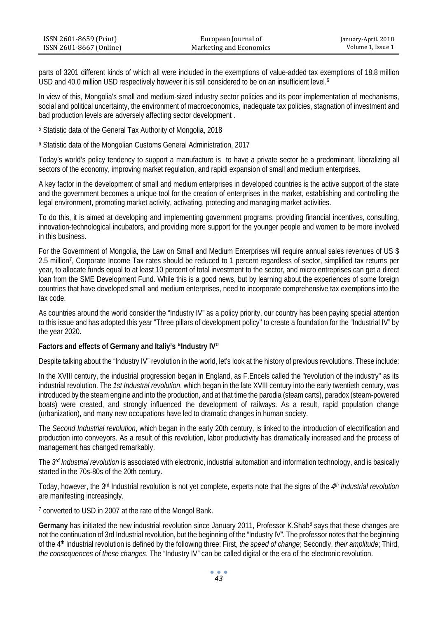| ISSN 2601-8659 (Print)  | European Journal of     | January-April. 2018 |
|-------------------------|-------------------------|---------------------|
| ISSN 2601-8667 (Online) | Marketing and Economics | Volume 1, Issue 1   |

parts of 3201 different kinds of which all were included in the exemptions of value-added tax exemptions of 18.8 million USD and 40.0 million USD respectively however it is still considered to be on an insufficient level.6

In view of this, Mongolia's small and medium-sized industry sector policies and its poor implementation of mechanisms, social and political uncertainty, the environment of macroeconomics, inadequate tax policies, stagnation of investment and bad production levels are adversely affecting sector development .

<sup>5</sup> Statistic data of the General Tax Authority of Mongolia, 2018

<sup>6</sup> Statistic data of the Mongolian Customs General Administration, 2017

Today's world's policy tendency to support a manufacture is to have a private sector be a predominant, liberalizing all sectors of the economy, improving market regulation, and rapidl expansion of small and medium enterprises.

A key factor in the development of small and medium enterprises in developed countries is the active support of the state and the government becomes a unique tool for the creation of enterprises in the market, establishing and controlling the legal environment, promoting market activity, activating, protecting and managing market activities.

To do this, it is aimed at developing and implementing government programs, providing financial incentives, consulting, innovation-technological incubators, and providing more support for the younger people and women to be more involved in this business.

For the Government of Mongolia, the Law on Small and Medium Enterprises will require annual sales revenues of US \$ 2.5 million7, Corporate Income Tax rates should be reduced to 1 percent regardless of sector, simplified tax returns per year, to allocate funds equal to at least 10 percent of total investment to the sector, and micro entreprises can get a direct loan from the SME Development Fund. While this is a good news, but by learning about the experiences of some foreign countries that have developed small and medium enterprises, need to incorporate comprehensive tax exemptions into the tax code.

As countries around the world consider the "Industry IV" as a policy priority, our country has been paying special attention to this issue and has adopted this year "Three pillars of development policy" to create a foundation for the "Industrial IV" by the year 2020.

## **Factors and effects of Germany and Italiy's "Industry IV"**

Despite talking about the "Industry IV" revolution in the world, let's look at the history of previous revolutions. These include:

In the XVIII century, the industrial progression began in England, as F.Encels called the "revolution of the industry" as its industrial revolution. The *1st Industral revolution*, which began in the late XVIII century into the early twentieth century, was introduced by the steam engine and into the production, and at that time the parodia (steam carts), paradox (steam-powered boats) were created, and strongly influenced the development of railways. As a result, rapid population change (urbanization), and many new occupations have led to dramatic changes in human society.

The *Second Industrial revolution*, which began in the early 20th century, is linked to the introduction of electrification and production into conveyors. As a result of this revolution, labor productivity has dramatically increased and the process of management has changed remarkably.

The *3rd Industrial revolution* is associated with electronic, industrial automation and information technology, and is basically started in the 70s-80s of the 20th century.

Today, however, the 3rd Industrial revolution is not yet complete, experts note that the signs of the *4th Industrial revolution* are manifesting increasingly.

<sup>7</sup> converted to USD in 2007 at the rate of the Mongol Bank.

Germany has initiated the new industrial revolution since January 2011, Professor K.Shab<sup>8</sup> says that these changes are not the continuation of 3rd Industrial revolution, but the beginning of the "Industry IV". The professor notes that the beginning of the 4th Industrial revolution is defined by the following three: First, *the speed of change*; Secondly, *their amplitude*; Third, *the consequences of these changes*. The "Industry IV" can be called digital or the era of the electronic revolution.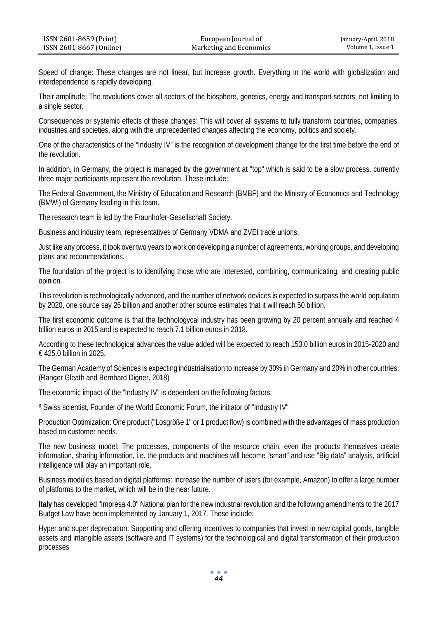| ISSN 2601-8659 (Print)  | European Journal of     | January-April. 2018 |
|-------------------------|-------------------------|---------------------|
| ISSN 2601-8667 (Online) | Marketing and Economics | Volume 1, Issue 1   |

Speed of change: These changes are not linear, but increase growth. Everything in the world with globalization and interdependence is rapidly developing.

Their amplitude: The revolutions cover all sectors of the biosphere, genetics, energy and transport sectors, not limiting to a single sector.

Consequences or systemic effects of these changes: This will cover all systems to fully transform countries, companies, industries and societies, along with the unprecedented changes affecting the economy, politics and society.

One of the characteristics of the "Industry IV" is the recognition of development change for the first time before the end of the revolution.

In addition, in Germany, the project is managed by the government at "top" which is said to be a slow process. currently three major participants represent the revolution. These include:

The Federal Government, the Ministry of Education and Research (BMBF) and the Ministry of Economics and Technology (BMWi) of Germany leading in this team.

The research team is led by the Fraunhofer-Gesellschaft Society.

Business and industry team, representatives of Germany VDMA and ZVEI trade unions.

Just like any process, it took over two years to work on developing a number of agreements, working groups, and developing plans and recommendations.

The foundation of the project is to identifying those who are interested, combining, communicating, and creating public opinion.

This revolution is technologically advanced, and the number of network devices is expected to surpass the world population by 2020, one source say 26 billion and another other source estimates that it will reach 50 billion.

The first economic outcome is that the technologycal industry has been growing by 20 percent annually and reached 4 billion euros in 2015 and is expected to reach 7.1 billion euros in 2018.

According to these technological advances the value added will be expected to reach 153.0 billion euros in 2015-2020 and € 425.0 billion in 2025.

The German Academy of Sciences is expecting industrialisation to increase by 30% in Germany and 20% in other countries. (Ranger Gleath and Bernhard Digner, 2018)

The economic impact of the "Industry IV" is dependent on the following factors:

8 Swiss scientist, Founder of the World Economic Forum, the initiator of "Industry IV"

Production Optimization: One product ("Losgröße 1" or 1 product flow) is combined with the advantages of mass production based on customer needs.

The new business model: The processes, components of the resource chain, even the products themselves create information, sharing information, i.e. the products and machines will become "smart" and use "Big data" analysis, artificial intelligence will play an important role.

Business modules based on digital platforms: Increase the number of users (for example, Amazon) to offer a large number of platforms to the market, which will be in the near future.

**Italy** has developed "Impresa 4.0" National plan for the new industrial revolution and the following amendments to the 2017 Budget Law have been implemented by January 1, 2017. These include:

Hyper and super depreciation: Supporting and offering incentives to companies that invest in new capital goods, tangible assets and intangible assets (software and IT systems) for the technological and digital transformation of their production processes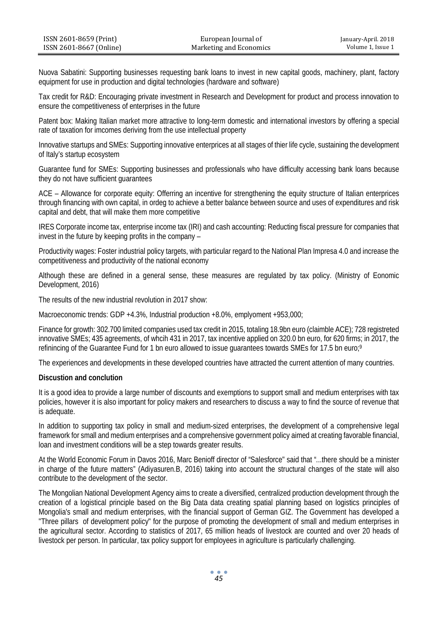| ISSN 2601-8659 (Print)  | European Journal of     | January-April. 2018 |
|-------------------------|-------------------------|---------------------|
| ISSN 2601-8667 (Online) | Marketing and Economics | Volume 1, Issue 1   |

Nuova Sabatini: Supporting businesses requesting bank loans to invest in new capital goods, machinery, plant, factory equipment for use in production and digital technologies (hardware and software)

Tax credit for R&D: Encouraging private investment in Research and Development for product and process innovation to ensure the competitiveness of enterprises in the future

Patent box: Making Italian market more attractive to long-term domestic and international investors by offering a special rate of taxation for imcomes deriving from the use intellectual property

Innovative startups and SMEs: Supporting innovative enterprices at all stages of thier life cycle, sustaining the development of Italy's startup ecosystem

Guarantee fund for SMEs: Supporting businesses and professionals who have difficulty accessing bank loans because they do not have sufficient guarantees

ACE – Allowance for corporate equity: Offerring an incentive for strengthening the equity structure of Italian enterprices through financing with own capital, in ordeg to achieve a better balance between source and uses of expenditures and risk capital and debt, that will make them more competitive

IRES Corporate income tax, enterprise income tax (IRI) and cash accounting: Reducting fiscal pressure for companies that invest in the future by keeping profits in the company –

Productivity wages: Foster industrial policy targets, with particular regard to the National Plan Impresa 4.0 and increase the competitiveness and productivity of the national economy

Although these are defined in a general sense, these measures are regulated by tax policy. (Ministry of Eonomic Development, 2016)

The results of the new industrial revolution in 2017 show:

Macroeconomic trends: GDP +4.3%, Industrial production +8.0%, emplyoment +953,000;

Finance for growth: 302.700 limited companies used tax credit in 2015, totaling 18.9bn euro (claimble ACE); 728 registreted innovative SMEs; 435 agreements, of whcih 431 in 2017, tax incentive applied on 320.0 bn euro, for 620 firms; in 2017, the refinincing of the Guarantee Fund for 1 bn euro allowed to issue guarantees towards SMEs for 17.5 bn euro;<sup>9</sup>

The experiences and developments in these developed countries have attracted the current attention of many countries.

#### **Discustion and conclution**

It is a good idea to provide a large number of discounts and exemptions to support small and medium enterprises with tax policies, however it is also important for policy makers and researchers to discuss a way to find the source of revenue that is adequate.

In addition to supporting tax policy in small and medium-sized enterprises, the development of a comprehensive legal framework for small and medium enterprises and a comprehensive government policy aimed at creating favorable financial, loan and investment conditions will be a step towards greater results.

At the World Economic Forum in Davos 2016, Marc Benioff director of "Salesforce" said that "...there should be a minister in charge of the future matters" (Adiyasuren.B, 2016) taking into account the structural changes of the state will also contribute to the development of the sector.

The Mongolian National Development Agency aims to create a diversified, centralized production development through the creation of a logistical principle based on the Big Data data creating spatial planning based on logistics principles of Mongolia's small and medium enterprises, with the financial support of German GIZ. The Government has developed a "Three pillars of development policy" for the purpose of promoting the development of small and medium enterprises in the agricultural sector. According to statistics of 2017, 65 million heads of livestock are counted and over 20 heads of livestock per person. In particular, tax policy support for employees in agriculture is particularly challenging.